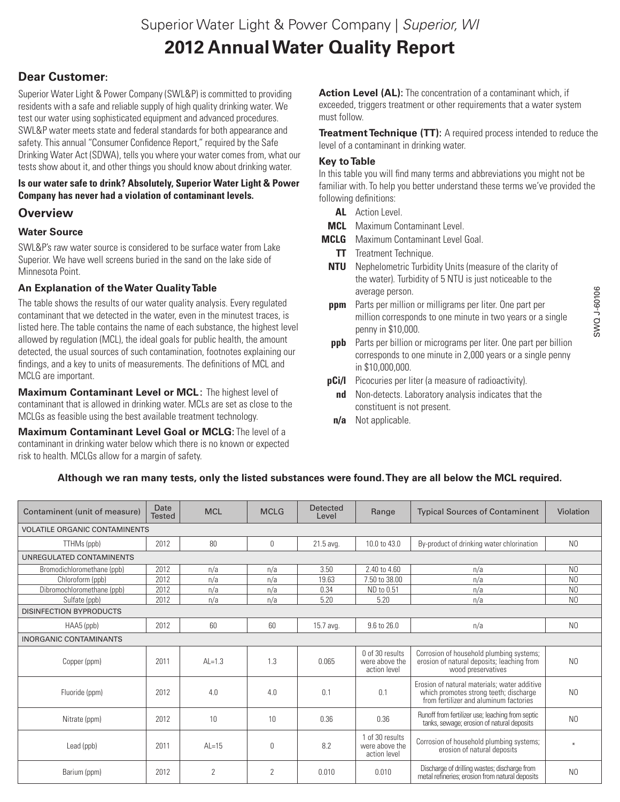# **Dear Customer:**

Superior Water Light & Power Company (SWL&P) is committed to providing residents with a safe and reliable supply of high quality drinking water. We test our water using sophisticated equipment and advanced procedures. SWL&P water meets state and federal standards for both appearance and safety. This annual "Consumer Confidence Report," required by the Safe Drinking Water Act (SDWA), tells you where your water comes from, what our tests show about it, and other things you should know about drinking water.

#### **Is our water safe to drink? Absolutely, Superior Water Light & Power Company has never had a violation of contaminant levels.**

## **Overview**

## **Water Source**

SWL&P's raw water source is considered to be surface water from Lake Superior. We have well screens buried in the sand on the lake side of Minnesota Point.

## **An Explanation of the Water Quality Table**

The table shows the results of our water quality analysis. Every regulated contaminant that we detected in the water, even in the minutest traces, is listed here. The table contains the name of each substance, the highest level allowed by regulation (MCL), the ideal goals for public health, the amount detected, the usual sources of such contamination, footnotes explaining our findings, and a key to units of measurements. The definitions of MCL and MCLG are important.

**Maximum Contaminant Level or MCL**: The highest level of contaminant that is allowed in drinking water. MCLs are set as close to the MCLGs as feasible using the best available treatment technology.

**Maximum Contaminant Level Goal or MCLG**: The level of a contaminant in drinking water below which there is no known or expected risk to health. MCLGs allow for a margin of safety.

**Action Level (AL):** The concentration of a contaminant which, if exceeded, triggers treatment or other requirements that a water system must follow.

**Treatment Technique (TT):** A required process intended to reduce the level of a contaminant in drinking water.

#### **Key to Table**

In this table you will find many terms and abbreviations you might not be familiar with. To help you better understand these terms we've provided the following definitions:

- **AL** Action Level.
- **MCL** Maximum Contaminant Level.
- **MCLG** Maximum Contaminant Level Goal.
	- **TT** Treatment Technique.
	- **NTU** Nephelometric Turbidity Units (measure of the clarity of the water). Turbidity of 5 NTU is just noticeable to the average person.
	- **ppm** Parts per million or milligrams per liter. One part per million corresponds to one minute in two years or a single penny in \$10,000.
	- **ppb** Parts per billion or micrograms per liter. One part per billion corresponds to one minute in 2,000 years or a single penny in \$10,000,000.
- **pCi/l** Picocuries per liter (a measure of radioactivity).
- **nd** Non-detects. Laboratory analysis indicates that the constituent is not present.
- **n/a** Not applicable.

#### **Although we ran many tests, only the listed substances were found. They are all below the MCL required.**

| Contaminent (unit of measure)        | Date<br><b>Tested</b> | <b>MCL</b>     | <b>MCLG</b> | <b>Detected</b><br>Level | Range                                             | <b>Typical Sources of Contaminent</b>                                                                                            | Violation      |  |  |  |  |  |
|--------------------------------------|-----------------------|----------------|-------------|--------------------------|---------------------------------------------------|----------------------------------------------------------------------------------------------------------------------------------|----------------|--|--|--|--|--|
| <b>VOLATILE ORGANIC CONTAMINENTS</b> |                       |                |             |                          |                                                   |                                                                                                                                  |                |  |  |  |  |  |
| TTHMs (ppb)                          | 2012                  | 80             | 0           | 21.5 avg.                | 10.0 to 43.0                                      | By-product of drinking water chlorination                                                                                        | N <sub>0</sub> |  |  |  |  |  |
| UNREGULATED CONTAMINENTS             |                       |                |             |                          |                                                   |                                                                                                                                  |                |  |  |  |  |  |
| Bromodichloromethane (ppb)           | 2012                  | n/a            | n/a         | 3.50                     | 2.40 to 4.60                                      | n/a                                                                                                                              | N <sub>0</sub> |  |  |  |  |  |
| Chloroform (ppb)                     | 2012                  | n/a            | n/a         | 19.63                    | 7.50 to 38.00                                     | n/a                                                                                                                              | N <sub>0</sub> |  |  |  |  |  |
| Dibromochloromethane (ppb)           | 2012                  | n/a            | n/a         | 0.34                     | ND to 0.51                                        | n/a                                                                                                                              | N <sub>0</sub> |  |  |  |  |  |
| Sulfate (ppb)                        | 2012                  | n/a            | n/a         | 5.20                     | 5.20                                              | n/a                                                                                                                              | N <sub>0</sub> |  |  |  |  |  |
| <b>DISINFECTION BYPRODUCTS</b>       |                       |                |             |                          |                                                   |                                                                                                                                  |                |  |  |  |  |  |
| HAA5 (ppb)                           | 2012                  | 60             | 60          | 15.7 avg.                | 9.6 to 26.0                                       | n/a                                                                                                                              | N <sub>0</sub> |  |  |  |  |  |
| <b>INORGANIC CONTAMINANTS</b>        |                       |                |             |                          |                                                   |                                                                                                                                  |                |  |  |  |  |  |
| Copper (ppm)                         | 2011                  | $Al=1.3$       | 1.3         | 0.065                    | 0 of 30 results<br>were above the<br>action level | Corrosion of household plumbing systems;<br>erosion of natural deposits; leaching from<br>wood preservatives                     | N <sub>0</sub> |  |  |  |  |  |
| Fluoride (ppm)                       | 2012                  | 4.0            | 4.0         | 0.1                      | 0.1                                               | Erosion of natural materials; water additive<br>which promotes strong teeth; discharge<br>from fertilizer and aluminum factories | N <sub>0</sub> |  |  |  |  |  |
| Nitrate (ppm)                        | 2012                  | 10             | 10          | 0.36                     | 0.36                                              | Runoff from fertilizer use: leaching from septic<br>tanks, sewage; erosion of natural deposits                                   | N <sub>0</sub> |  |  |  |  |  |
| Lead (ppb)                           | 2011                  | $Al=15$        | $\Omega$    | 8.2                      | 1 of 30 results<br>were above the<br>action level | Corrosion of household plumbing systems;<br>erosion of natural deposits                                                          |                |  |  |  |  |  |
| Barium (ppm)                         | 2012                  | $\overline{2}$ | 2           | 0.010                    | 0.010                                             | Discharge of drilling wastes; discharge from<br>metal refineries; erosion from natural deposits                                  | N <sub>0</sub> |  |  |  |  |  |